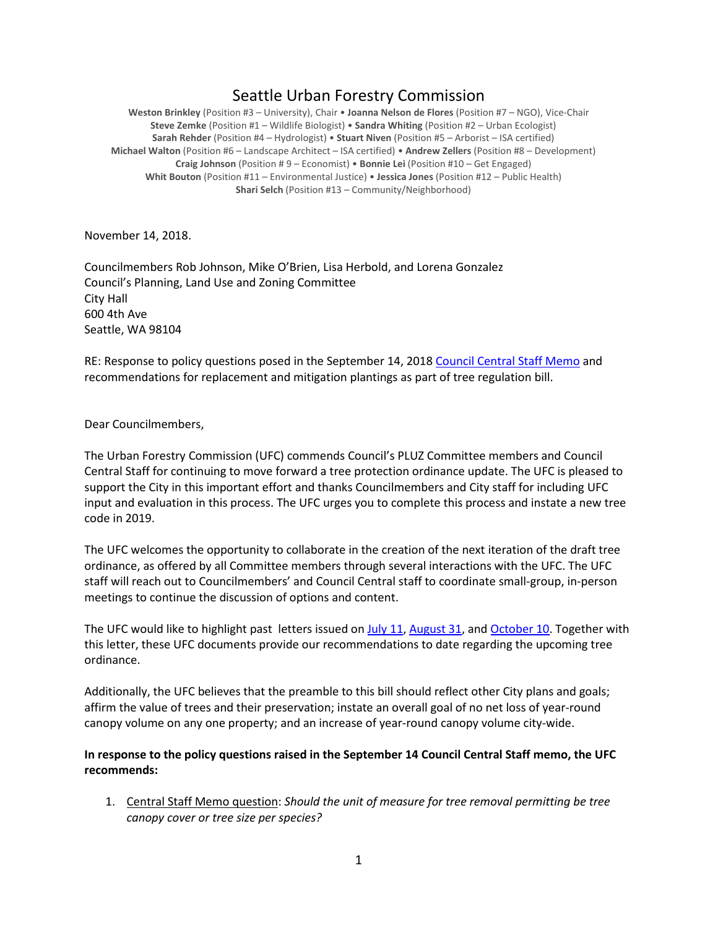## Seattle Urban Forestry Commission

**Weston Brinkley** (Position #3 – University), Chair • **Joanna Nelson de Flores** (Position #7 – NGO), Vice-Chair **Steve Zemke** (Position #1 – Wildlife Biologist) • **Sandra Whiting** (Position #2 – Urban Ecologist) **Sarah Rehder** (Position #4 – Hydrologist) • **Stuart Niven** (Position #5 – Arborist – ISA certified) **Michael Walton** (Position #6 – Landscape Architect – ISA certified) • **Andrew Zellers** (Position #8 – Development) **Craig Johnson** (Position # 9 – Economist) • **Bonnie Lei** (Position #10 – Get Engaged) **Whit Bouton** (Position #11 – Environmental Justice) • **Jessica Jones** (Position #12 – Public Health) **Shari Selch** (Position #13 – Community/Neighborhood)

November 14, 2018.

Councilmembers Rob Johnson, Mike O'Brien, Lisa Herbold, and Lorena Gonzalez Council's Planning, Land Use and Zoning Committee City Hall 600 4th Ave Seattle, WA 98104

RE: Response to policy questions posed in the September 14, 201[8 Council Central Staff Memo](http://www.seattle.gov/Documents/Departments/UrbanForestryCommission/2018/2018docs/CentralStaffMemo091418TreeRegsPolicyQs.pdf) and recommendations for replacement and mitigation plantings as part of tree regulation bill.

## Dear Councilmembers,

The Urban Forestry Commission (UFC) commends Council's PLUZ Committee members and Council Central Staff for continuing to move forward a tree protection ordinance update. The UFC is pleased to support the City in this important effort and thanks Councilmembers and City staff for including UFC input and evaluation in this process. The UFC urges you to complete this process and instate a new tree code in 2019.

The UFC welcomes the opportunity to collaborate in the creation of the next iteration of the draft tree ordinance, as offered by all Committee members through several interactions with the UFC. The UFC staff will reach out to Councilmembers' and Council Central staff to coordinate small-group, in-person meetings to continue the discussion of options and content.

The UFC would like to highlight past letters issued o[n July 11,](http://www.seattle.gov/Documents/Departments/UrbanForestryCommission/FinalIssuedDocuments/Recommendations/AdoptedTreeRegsEnforcement071118.pdf) [August 31,](http://www.seattle.gov/Documents/Departments/UrbanForestryCommission/FinalIssuedDocuments/Recommendations/ADOPTEDLetterTreeOrd083118.pdf) and [October 10.](http://www.seattle.gov/Documents/Departments/UrbanForestryCommission/FinalIssuedDocuments/Recommendations/ADOPTED-UFCTreeOrdBudget101018.pdf) Together with this letter, these UFC documents provide our recommendations to date regarding the upcoming tree ordinance.

Additionally, the UFC believes that the preamble to this bill should reflect other City plans and goals; affirm the value of trees and their preservation; instate an overall goal of no net loss of year-round canopy volume on any one property; and an increase of year-round canopy volume city-wide.

## **In response to the policy questions raised in the September 14 Council Central Staff memo, the UFC recommends:**

1. Central Staff Memo question: *Should the unit of measure for tree removal permitting be tree canopy cover or tree size per species?*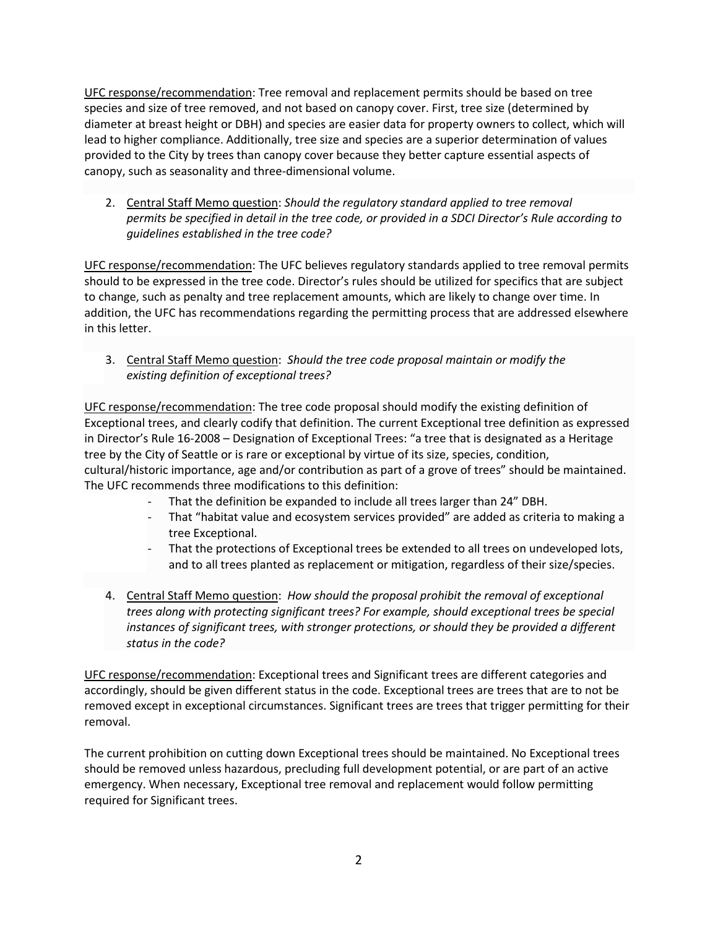UFC response/recommendation: Tree removal and replacement permits should be based on tree species and size of tree removed, and not based on canopy cover. First, tree size (determined by diameter at breast height or DBH) and species are easier data for property owners to collect, which will lead to higher compliance. Additionally, tree size and species are a superior determination of values provided to the City by trees than canopy cover because they better capture essential aspects of canopy, such as seasonality and three-dimensional volume.

2. Central Staff Memo question: *Should the regulatory standard applied to tree removal permits be specified in detail in the tree code, or provided in a SDCI Director's Rule according to guidelines established in the tree code?*

UFC response/recommendation: The UFC believes regulatory standards applied to tree removal permits should to be expressed in the tree code. Director's rules should be utilized for specifics that are subject to change, such as penalty and tree replacement amounts, which are likely to change over time. In addition, the UFC has recommendations regarding the permitting process that are addressed elsewhere in this letter.

3. Central Staff Memo question: *Should the tree code proposal maintain or modify the existing definition of exceptional trees?*

UFC response/recommendation: The tree code proposal should modify the existing definition of Exceptional trees, and clearly codify that definition. The current Exceptional tree definition as expressed in Director's Rule 16-2008 – Designation of Exceptional Trees: "a tree that is designated as a Heritage tree by the City of Seattle or is rare or exceptional by virtue of its size, species, condition, cultural/historic importance, age and/or contribution as part of a grove of trees" should be maintained. The UFC recommends three modifications to this definition:

- That the definition be expanded to include all trees larger than 24" DBH.
- That "habitat value and ecosystem services provided" are added as criteria to making a tree Exceptional.
- That the protections of Exceptional trees be extended to all trees on undeveloped lots, and to all trees planted as replacement or mitigation, regardless of their size/species.
- 4. Central Staff Memo question: *How should the proposal prohibit the removal of exceptional trees along with protecting significant trees? For example, should exceptional trees be special instances of significant trees, with stronger protections, or should they be provided a different status in the code?*

UFC response/recommendation: Exceptional trees and Significant trees are different categories and accordingly, should be given different status in the code. Exceptional trees are trees that are to not be removed except in exceptional circumstances. Significant trees are trees that trigger permitting for their removal.

The current prohibition on cutting down Exceptional trees should be maintained. No Exceptional trees should be removed unless hazardous, precluding full development potential, or are part of an active emergency. When necessary, Exceptional tree removal and replacement would follow permitting required for Significant trees.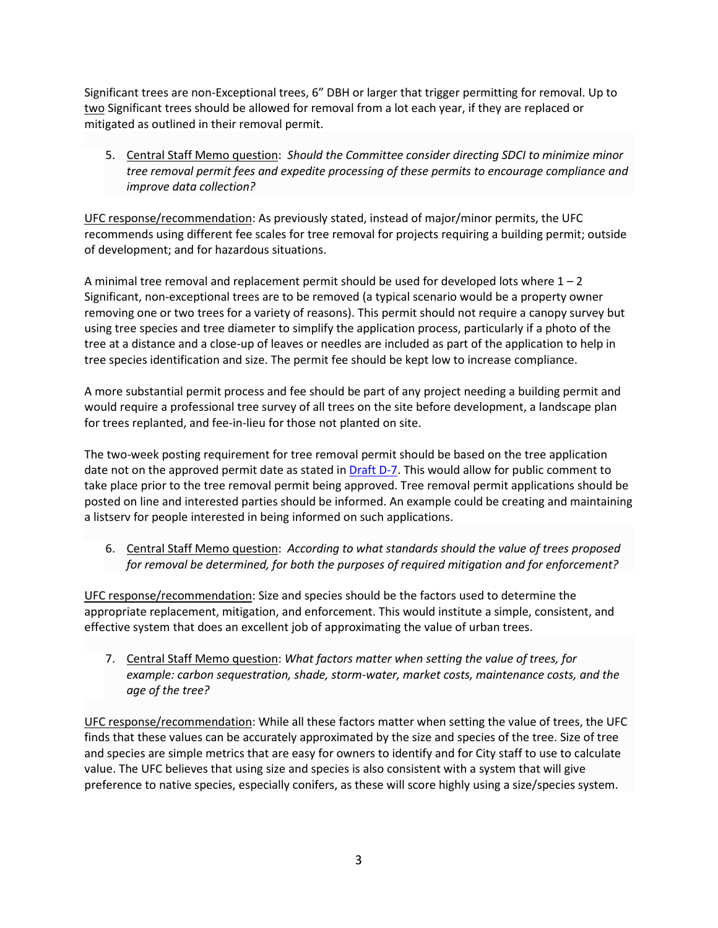Significant trees are non-Exceptional trees, 6" DBH or larger that trigger permitting for removal. Up to two Significant trees should be allowed for removal from a lot each year, if they are replaced or mitigated as outlined in their removal permit.

5. Central Staff Memo question: *Should the Committee consider directing SDCI to minimize minor tree removal permit fees and expedite processing of these permits to encourage compliance and improve data collection?*

UFC response/recommendation: As previously stated, instead of major/minor permits, the UFC recommends using different fee scales for tree removal for projects requiring a building permit; outside of development; and for hazardous situations.

A minimal tree removal and replacement permit should be used for developed lots where  $1 - 2$ Significant, non-exceptional trees are to be removed (a typical scenario would be a property owner removing one or two trees for a variety of reasons). This permit should not require a canopy survey but using tree species and tree diameter to simplify the application process, particularly if a photo of the tree at a distance and a close-up of leaves or needles are included as part of the application to help in tree species identification and size. The permit fee should be kept low to increase compliance.

A more substantial permit process and fee should be part of any project needing a building permit and would require a professional tree survey of all trees on the site before development, a landscape plan for trees replanted, and fee-in-lieu for those not planted on site.

The two-week posting requirement for tree removal permit should be based on the tree application date not on the approved permit date as stated in **Draft D-7**. This would allow for public comment to take place prior to the tree removal permit being approved. Tree removal permit applications should be posted on line and interested parties should be informed. An example could be creating and maintaining a listserv for people interested in being informed on such applications.

6. Central Staff Memo question: *According to what standards should the value of trees proposed for removal be determined, for both the purposes of required mitigation and for enforcement?*

UFC response/recommendation: Size and species should be the factors used to determine the appropriate replacement, mitigation, and enforcement. This would institute a simple, consistent, and effective system that does an excellent job of approximating the value of urban trees.

7. Central Staff Memo question: *What factors matter when setting the value of trees, for example: carbon sequestration, shade, storm-water, market costs, maintenance costs, and the age of the tree?*

UFC response/recommendation: While all these factors matter when setting the value of trees, the UFC finds that these values can be accurately approximated by the size and species of the tree. Size of tree and species are simple metrics that are easy for owners to identify and for City staff to use to calculate value. The UFC believes that using size and species is also consistent with a system that will give preference to native species, especially conifers, as these will score highly using a size/species system.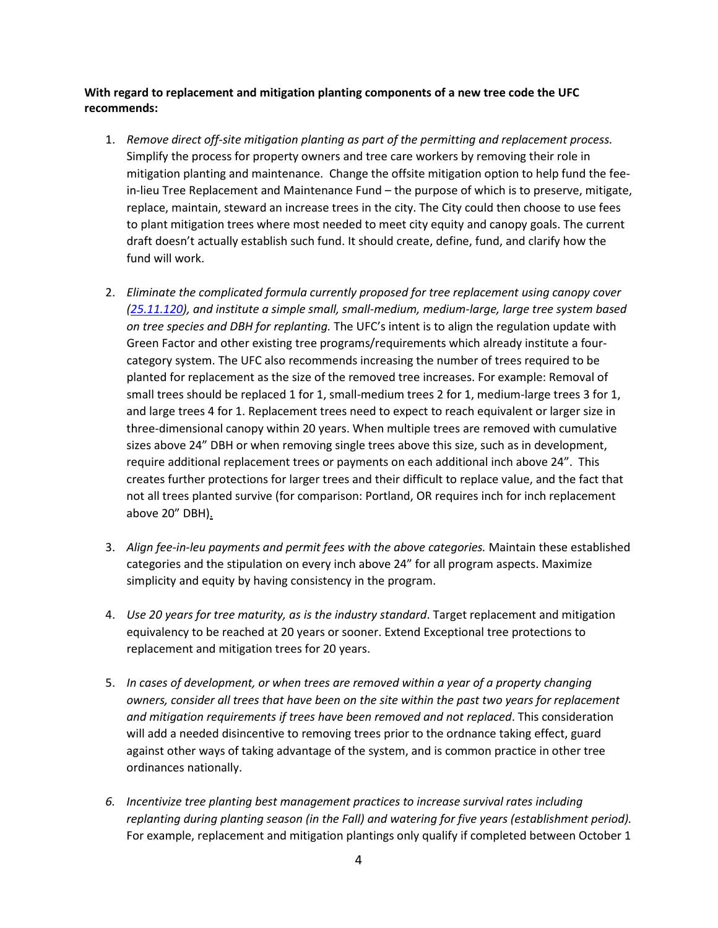## **With regard to replacement and mitigation planting components of a new tree code the UFC recommends:**

- 1. *Remove direct off-site mitigation planting as part of the permitting and replacement process.*  Simplify the process for property owners and tree care workers by removing their role in mitigation planting and maintenance. Change the offsite mitigation option to help fund the feein-lieu Tree Replacement and Maintenance Fund – the purpose of which is to preserve, mitigate, replace, maintain, steward an increase trees in the city. The City could then choose to use fees to plant mitigation trees where most needed to meet city equity and canopy goals. The current draft doesn't actually establish such fund. It should create, define, fund, and clarify how the fund will work.
- 2. *Eliminate the complicated formula currently proposed for tree replacement using canopy cover [\(25.11.120\)](http://www.seattle.gov/Documents/Departments/UrbanForestryCommission/Resources/DRAFTTreeRegulationUpdatesORD-D7(0).pdf), and institute a simple small, small-medium, medium-large, large tree system based on tree species and DBH for replanting.* The UFC's intent is to align the regulation update with Green Factor and other existing tree programs/requirements which already institute a fourcategory system. The UFC also recommends increasing the number of trees required to be planted for replacement as the size of the removed tree increases. For example: Removal of small trees should be replaced 1 for 1, small-medium trees 2 for 1, medium-large trees 3 for 1, and large trees 4 for 1. Replacement trees need to expect to reach equivalent or larger size in three-dimensional canopy within 20 years. When multiple trees are removed with cumulative sizes above 24" DBH or when removing single trees above this size, such as in development, require additional replacement trees or payments on each additional inch above 24". This creates further protections for larger trees and their difficult to replace value, and the fact that not all trees planted survive (for comparison: Portland, OR requires inch for inch replacement above 20" DBH).
- 3. *Align fee-in-leu payments and permit fees with the above categories.* Maintain these established categories and the stipulation on every inch above 24" for all program aspects. Maximize simplicity and equity by having consistency in the program.
- 4. *Use 20 years for tree maturity, as is the industry standard*. Target replacement and mitigation equivalency to be reached at 20 years or sooner. Extend Exceptional tree protections to replacement and mitigation trees for 20 years.
- 5. *In cases of development, or when trees are removed within a year of a property changing owners, consider all trees that have been on the site within the past two years for replacement and mitigation requirements if trees have been removed and not replaced*. This consideration will add a needed disincentive to removing trees prior to the ordnance taking effect, guard against other ways of taking advantage of the system, and is common practice in other tree ordinances nationally.
- *6. Incentivize tree planting best management practices to increase survival rates including replanting during planting season (in the Fall) and watering for five years (establishment period).*  For example, replacement and mitigation plantings only qualify if completed between October 1